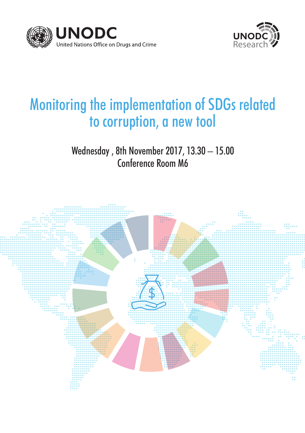



# Monitoring the implementation of SDGs related to corruption, a new tool

Wednesday , 8th November 2017, 13.30 – 15.00 Conference Room M6

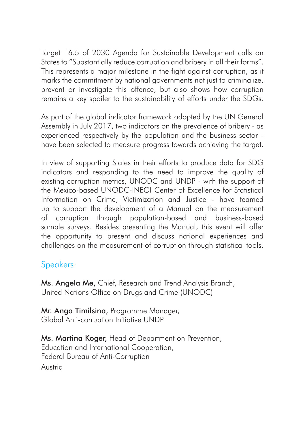Target 16.5 of 2030 Agenda for Sustainable Development calls on States to "Substantially reduce corruption and bribery in all their forms". This represents a major milestone in the fight against corruption, as it marks the commitment by national governments not just to criminalize, prevent or investigate this offence, but also shows how corruption remains a key spoiler to the sustainability of efforts under the SDGs.

As part of the global indicator framework adopted by the UN General Assembly in July 2017, two indicators on the prevalence of bribery - as experienced respectively by the population and the business sector have been selected to measure progress towards achieving the target.

In view of supporting States in their efforts to produce data for SDG indicators and responding to the need to improve the quality of existing corruption metrics, UNODC and UNDP - with the support of the Mexico-based UNODC-INEGI Center of Excellence for Statistical Information on Crime, Victimization and Justice - have teamed up to support the development of a Manual on the measurement of corruption through population-based and business-based sample surveys. Besides presenting the Manual, this event will offer the opportunity to present and discuss national experiences and challenges on the measurement of corruption through statistical tools.

# Speakers:

Ms. Angela Me, Chief, Research and Trend Analysis Branch, United Nations Office on Drugs and Crime (UNODC)

Mr. Anga Timilsing, Programme Manager, Global Anti-corruption Initiative UNDP

Ms. Martina Koger, Head of Department on Prevention, Education and International Cooperation, Federal Bureau of Anti-Corruption Austria